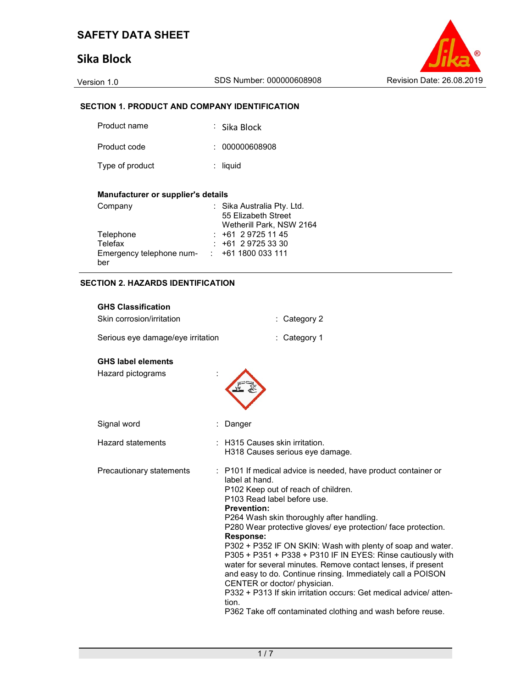# Sika Block



### SECTION 1. PRODUCT AND COMPANY IDENTIFICATION

| Product name    | ∶ Sika Block   |
|-----------------|----------------|
| Product code    | : 000000608908 |
| Type of product | $:$ liquid     |

#### Manufacturer or supplier's details

| Company                  | : Sika Australia Pty. Ltd. |
|--------------------------|----------------------------|
|                          | 55 Elizabeth Street        |
|                          | Wetherill Park, NSW 2164   |
| Telephone                | $: +61297251145$           |
| Telefax                  | $: +61297253330$           |
| Emergency telephone num- | $\div$ +61 1800 033 111    |
| ber                      |                            |

#### SECTION 2. HAZARDS IDENTIFICATION

| <b>GHS Classification</b>                      |                                                                                                                                                                                                                                                                                                                                                                                                                                                                                                                                                                                                                                                                                                                                                        |
|------------------------------------------------|--------------------------------------------------------------------------------------------------------------------------------------------------------------------------------------------------------------------------------------------------------------------------------------------------------------------------------------------------------------------------------------------------------------------------------------------------------------------------------------------------------------------------------------------------------------------------------------------------------------------------------------------------------------------------------------------------------------------------------------------------------|
| Skin corrosion/irritation                      | Category 2                                                                                                                                                                                                                                                                                                                                                                                                                                                                                                                                                                                                                                                                                                                                             |
| Serious eye damage/eye irritation              | Category 1                                                                                                                                                                                                                                                                                                                                                                                                                                                                                                                                                                                                                                                                                                                                             |
| <b>GHS label elements</b><br>Hazard pictograms |                                                                                                                                                                                                                                                                                                                                                                                                                                                                                                                                                                                                                                                                                                                                                        |
| Signal word                                    | Danger                                                                                                                                                                                                                                                                                                                                                                                                                                                                                                                                                                                                                                                                                                                                                 |
| <b>Hazard statements</b>                       | : H315 Causes skin irritation.<br>H318 Causes serious eye damage.                                                                                                                                                                                                                                                                                                                                                                                                                                                                                                                                                                                                                                                                                      |
| Precautionary statements                       | : P101 If medical advice is needed, have product container or<br>label at hand.<br>P102 Keep out of reach of children.<br>P103 Read label before use.<br><b>Prevention:</b><br>P264 Wash skin thoroughly after handling.<br>P280 Wear protective gloves/ eye protection/ face protection.<br><b>Response:</b><br>P302 + P352 IF ON SKIN: Wash with plenty of soap and water.<br>P305 + P351 + P338 + P310 IF IN EYES: Rinse cautiously with<br>water for several minutes. Remove contact lenses, if present<br>and easy to do. Continue rinsing. Immediately call a POISON<br>CENTER or doctor/ physician.<br>P332 + P313 If skin irritation occurs: Get medical advice/ atten-<br>tion.<br>P362 Take off contaminated clothing and wash before reuse. |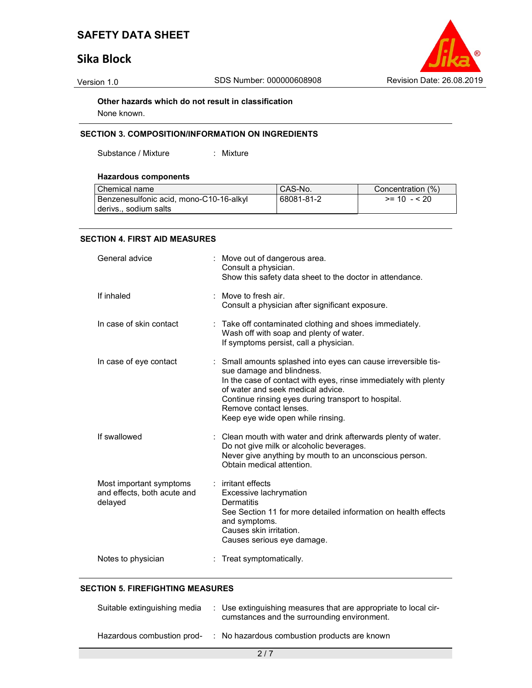# Sika Block



Other hazards which do not result in classification

None known.

#### SECTION 3. COMPOSITION/INFORMATION ON INGREDIENTS

Substance / Mixture : Mixture

#### Hazardous components

| Chemical name                           | CAS-No.    | Concentration (%) |
|-----------------------------------------|------------|-------------------|
| Benzenesulfonic acid, mono-C10-16-alkyl | 68081-81-2 | $>= 10 - 520$     |
| derivs sodium salts                     |            |                   |

#### SECTION 4. FIRST AID MEASURES

| General advice                                                    | : Move out of dangerous area.<br>Consult a physician.<br>Show this safety data sheet to the doctor in attendance.                                                                                                                                                                                                         |
|-------------------------------------------------------------------|---------------------------------------------------------------------------------------------------------------------------------------------------------------------------------------------------------------------------------------------------------------------------------------------------------------------------|
| If inhaled                                                        | : Move to fresh air.<br>Consult a physician after significant exposure.                                                                                                                                                                                                                                                   |
| In case of skin contact                                           | Take off contaminated clothing and shoes immediately.<br>Wash off with soap and plenty of water.<br>If symptoms persist, call a physician.                                                                                                                                                                                |
| In case of eye contact                                            | : Small amounts splashed into eyes can cause irreversible tis-<br>sue damage and blindness.<br>In the case of contact with eyes, rinse immediately with plenty<br>of water and seek medical advice.<br>Continue rinsing eyes during transport to hospital.<br>Remove contact lenses.<br>Keep eye wide open while rinsing. |
| If swallowed                                                      | : Clean mouth with water and drink afterwards plenty of water.<br>Do not give milk or alcoholic beverages.<br>Never give anything by mouth to an unconscious person.<br>Obtain medical attention.                                                                                                                         |
| Most important symptoms<br>and effects, both acute and<br>delayed | : irritant effects<br>Excessive lachrymation<br><b>Dermatitis</b><br>See Section 11 for more detailed information on health effects<br>and symptoms.<br>Causes skin irritation.<br>Causes serious eye damage.                                                                                                             |
| Notes to physician                                                | Treat symptomatically.                                                                                                                                                                                                                                                                                                    |

#### SECTION 5. FIREFIGHTING MEASURES

| Suitable extinguishing media | : Use extinguishing measures that are appropriate to local cir-<br>cumstances and the surrounding environment. |
|------------------------------|----------------------------------------------------------------------------------------------------------------|
| Hazardous combustion prod-   | : No hazardous combustion products are known                                                                   |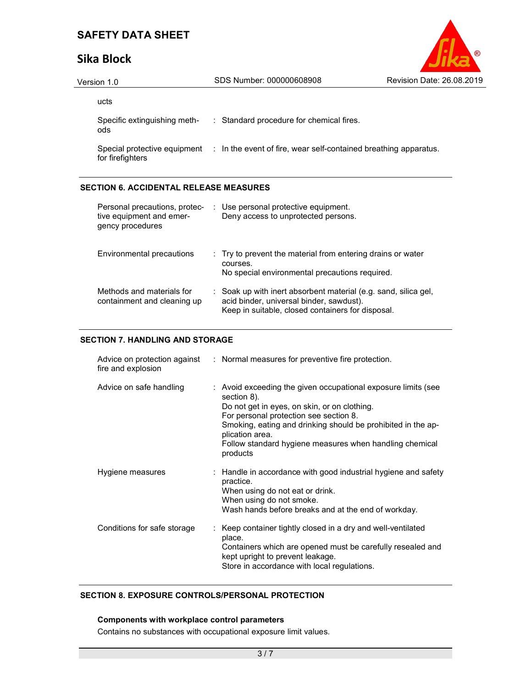# Sika Block

| <b>Revision Date: 26.08.2019</b> |
|----------------------------------|

| Version 1.0                         | SDS Number: 000000608908                                                                      | Revision Date: 26.08.2019 |
|-------------------------------------|-----------------------------------------------------------------------------------------------|---------------------------|
| ucts                                |                                                                                               |                           |
| Specific extinguishing meth-<br>ods | : Standard procedure for chemical fires.                                                      |                           |
| for firefighters                    | Special protective equipment : In the event of fire, wear self-contained breathing apparatus. |                           |

#### SECTION 6. ACCIDENTAL RELEASE MEASURES

| Personal precautions, protec-<br>tive equipment and emer-<br>gency procedures | : Use personal protective equipment.<br>Deny access to unprotected persons.                                                                                      |
|-------------------------------------------------------------------------------|------------------------------------------------------------------------------------------------------------------------------------------------------------------|
| Environmental precautions                                                     | : Try to prevent the material from entering drains or water<br>courses.<br>No special environmental precautions required.                                        |
| Methods and materials for<br>containment and cleaning up                      | : Soak up with inert absorbent material (e.g. sand, silica gel,<br>acid binder, universal binder, sawdust).<br>Keep in suitable, closed containers for disposal. |

#### SECTION 7. HANDLING AND STORAGE

| fire and explosion          | Advice on protection against : Normal measures for preventive fire protection.                                                                                                                                                                                                                                                   |
|-----------------------------|----------------------------------------------------------------------------------------------------------------------------------------------------------------------------------------------------------------------------------------------------------------------------------------------------------------------------------|
| Advice on safe handling     | : Avoid exceeding the given occupational exposure limits (see<br>section 8).<br>Do not get in eyes, on skin, or on clothing.<br>For personal protection see section 8.<br>Smoking, eating and drinking should be prohibited in the ap-<br>plication area.<br>Follow standard hygiene measures when handling chemical<br>products |
| Hygiene measures            | : Handle in accordance with good industrial hygiene and safety<br>practice.<br>When using do not eat or drink.<br>When using do not smoke.<br>Wash hands before breaks and at the end of workday.                                                                                                                                |
| Conditions for safe storage | : Keep container tightly closed in a dry and well-ventilated<br>place.<br>Containers which are opened must be carefully resealed and<br>kept upright to prevent leakage.<br>Store in accordance with local regulations.                                                                                                          |

#### SECTION 8. EXPOSURE CONTROLS/PERSONAL PROTECTION

#### Components with workplace control parameters

Contains no substances with occupational exposure limit values.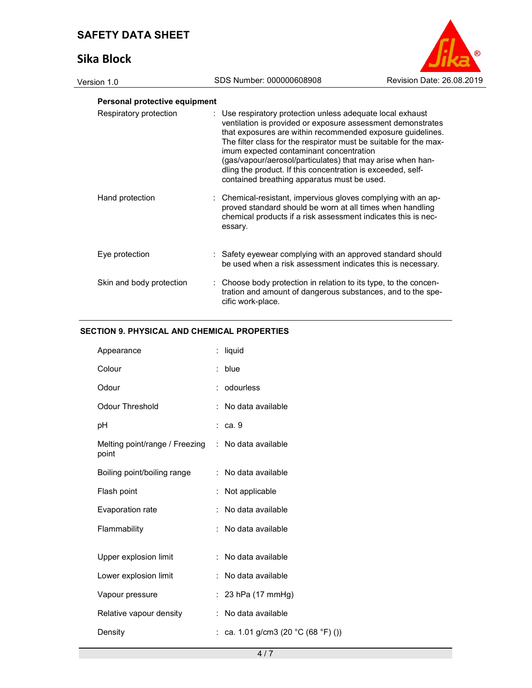# Sika Block

| Revision Date: 26.08.2019 |
|---------------------------|

# Version 1.0 SDS Number: 000000608908 Personal protective equipment Respiratory protection : Use respiratory protection unless adequate local exhaust

| <b>INGSPITAIULY PRUGUIULI</b> | $\sim$ 0se respiratory protection unless adequate local exhaust<br>ventilation is provided or exposure assessment demonstrates<br>that exposures are within recommended exposure quidelines.<br>The filter class for the respirator must be suitable for the max-<br>imum expected contaminant concentration<br>(gas/vapour/aerosol/particulates) that may arise when han-<br>dling the product. If this concentration is exceeded, self-<br>contained breathing apparatus must be used. |
|-------------------------------|------------------------------------------------------------------------------------------------------------------------------------------------------------------------------------------------------------------------------------------------------------------------------------------------------------------------------------------------------------------------------------------------------------------------------------------------------------------------------------------|
| Hand protection               | : Chemical-resistant, impervious gloves complying with an ap-<br>proved standard should be worn at all times when handling<br>chemical products if a risk assessment indicates this is nec-<br>essary.                                                                                                                                                                                                                                                                                   |
| Eye protection                | : Safety eyewear complying with an approved standard should<br>be used when a risk assessment indicates this is necessary.                                                                                                                                                                                                                                                                                                                                                               |
| Skin and body protection      | : Choose body protection in relation to its type, to the concen-<br>tration and amount of dangerous substances, and to the spe-<br>cific work-place.                                                                                                                                                                                                                                                                                                                                     |

#### SECTION 9. PHYSICAL AND CHEMICAL PROPERTIES

| Appearance                                                  | liquid<br>÷.                        |  |
|-------------------------------------------------------------|-------------------------------------|--|
| Colour                                                      | blue<br>t.                          |  |
| Odour                                                       | odourless<br>÷                      |  |
| <b>Odour Threshold</b>                                      | No data available                   |  |
| рH                                                          | ca. 9                               |  |
| Melting point/range / Freezing : No data available<br>point |                                     |  |
| Boiling point/boiling range                                 | : No data available                 |  |
| Flash point                                                 | Not applicable                      |  |
| Evaporation rate                                            | No data available                   |  |
| Flammability                                                | No data available<br>÷              |  |
|                                                             |                                     |  |
| Upper explosion limit                                       | No data available<br>÷              |  |
| Lower explosion limit                                       | No data available<br>÷.             |  |
| Vapour pressure                                             | 23 hPa (17 mmHg)<br>÷.              |  |
| Relative vapour density                                     | No data available<br>÷              |  |
| Density                                                     | : ca. 1.01 g/cm3 (20 °C (68 °F) ()) |  |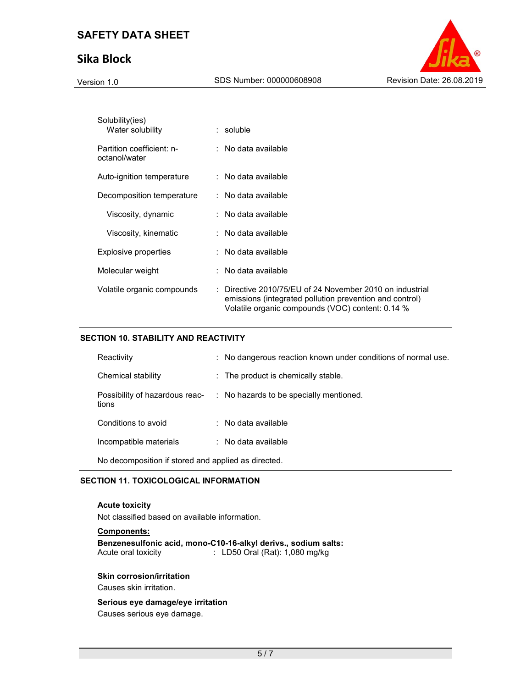# Sika Block



| Solubility(ies)<br>Water solubility        | $:$ soluble                                                                                                                                                                        |
|--------------------------------------------|------------------------------------------------------------------------------------------------------------------------------------------------------------------------------------|
| Partition coefficient: n-<br>octanol/water | $:$ No data available                                                                                                                                                              |
| Auto-ignition temperature                  | $\therefore$ No data available                                                                                                                                                     |
| Decomposition temperature                  | $:$ No data available                                                                                                                                                              |
| Viscosity, dynamic                         | $:$ No data available                                                                                                                                                              |
| Viscosity, kinematic                       | $:$ No data available                                                                                                                                                              |
| Explosive properties                       | $:$ No data available                                                                                                                                                              |
| Molecular weight                           | $:$ No data available                                                                                                                                                              |
| Volatile organic compounds                 | $\therefore$ Directive 2010/75/EU of 24 November 2010 on industrial<br>emissions (integrated pollution prevention and control)<br>Volatile organic compounds (VOC) content: 0.14 % |

#### SECTION 10. STABILITY AND REACTIVITY

| Reactivity                                          | : No dangerous reaction known under conditions of normal use. |  |
|-----------------------------------------------------|---------------------------------------------------------------|--|
| Chemical stability                                  | $\therefore$ The product is chemically stable.                |  |
| Possibility of hazardous reac-<br>tions             | : No hazards to be specially mentioned.                       |  |
| Conditions to avoid                                 | $\therefore$ No data available                                |  |
| Incompatible materials                              | $\therefore$ No data available                                |  |
| No decomposition if stored and applied as directed. |                                                               |  |

#### SECTION 11. TOXICOLOGICAL INFORMATION

#### Acute toxicity

Not classified based on available information.

#### Components:

Benzenesulfonic acid, mono-C10-16-alkyl derivs., sodium salts:  $\therefore$  LD50 Oral (Rat): 1,080 mg/kg

#### Skin corrosion/irritation

Causes skin irritation.

#### Serious eye damage/eye irritation

Causes serious eye damage.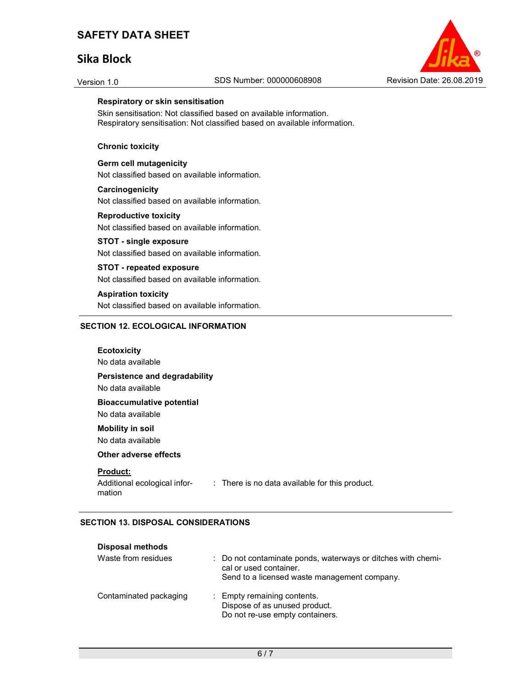## Sika Block



#### Respiratory or skin sensitisation

Skin sensitisation: Not classified based on available information. Respiratory sensitisation: Not classified based on available information.

#### Chronic toxicity

Germ cell mutagenicity Not classified based on available information.

### **Carcinogenicity**

Not classified based on available information.

#### Reproductive toxicity

Not classified based on available information.

#### STOT - single exposure

Not classified based on available information.

#### STOT - repeated exposure

Not classified based on available information.

#### Aspiration toxicity

Not classified based on available information.

#### SECTION 12. ECOLOGICAL INFORMATION

### **Ecotoxicity** No data available Persistence and degradability No data available Bioaccumulative potential No data available Mobility in soil No data available Other adverse effects Product: Additional ecological information : There is no data available for this product.

#### SECTION 13. DISPOSAL CONSIDERATIONS

| <b>Disposal methods</b> |                                                                                                                                        |
|-------------------------|----------------------------------------------------------------------------------------------------------------------------------------|
| Waste from residues     | : Do not contaminate ponds, waterways or ditches with chemi-<br>cal or used container.<br>Send to a licensed waste management company. |
| Contaminated packaging  | : Empty remaining contents.<br>Dispose of as unused product.<br>Do not re-use empty containers.                                        |